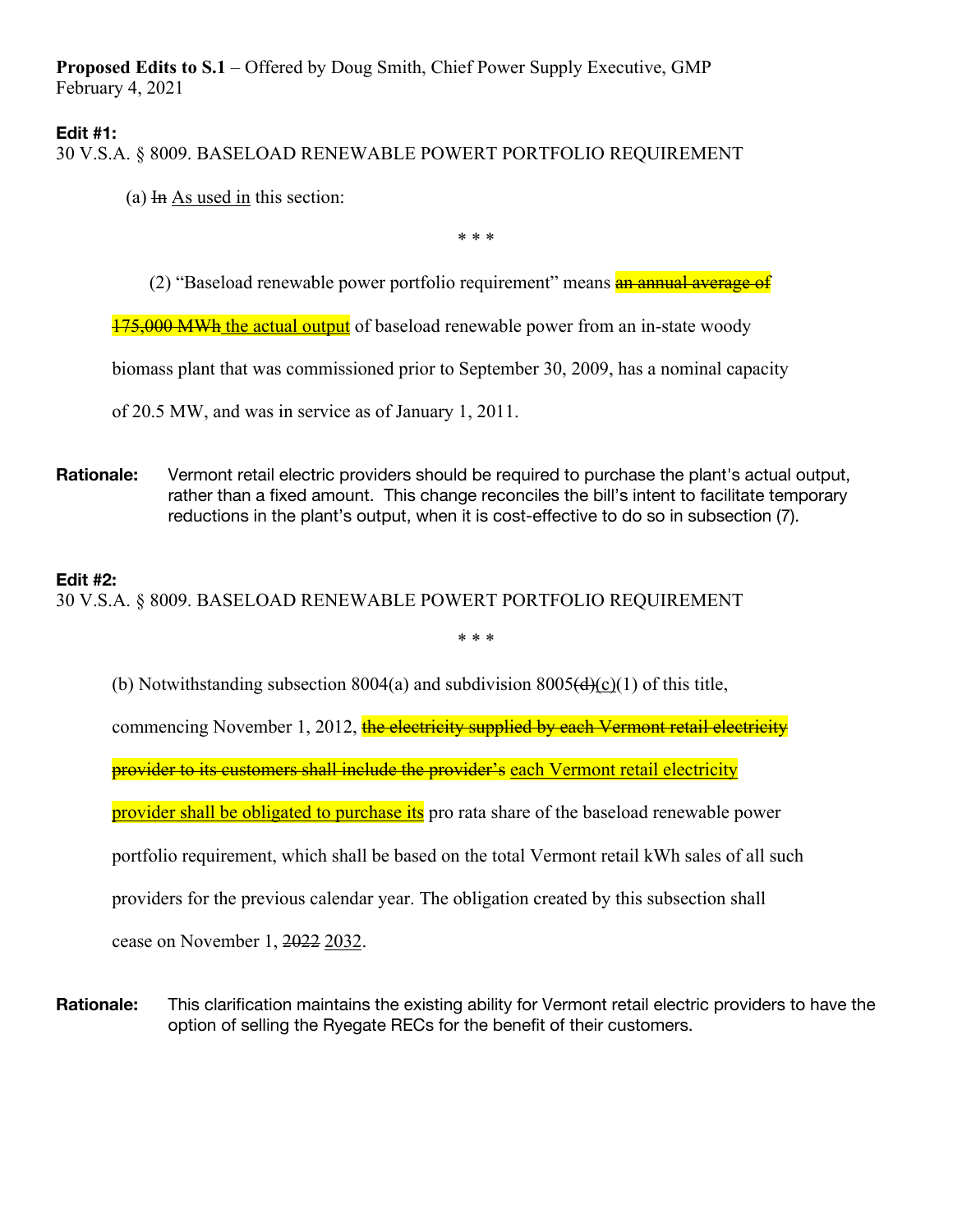**Proposed Edits to S.1** – Offered by Doug Smith, Chief Power Supply Executive, GMP February 4, 2021

## **Edit #1:**

30 V.S.A. § 8009. BASELOAD RENEWABLE POWERT PORTFOLIO REQUIREMENT

(a)  $\overline{In}$  As used in this section:

\* \* \*

(2) "Baseload renewable power portfolio requirement" means **an annual average of** 

175,000 MWh the actual output of baseload renewable power from an in-state woody

biomass plant that was commissioned prior to September 30, 2009, has a nominal capacity

of 20.5 MW, and was in service as of January 1, 2011.

**Rationale:** Vermont retail electric providers should be required to purchase the plant's actual output, rather than a fixed amount. This change reconciles the bill's intent to facilitate temporary reductions in the plant's output, when it is cost-effective to do so in subsection (7).

## **Edit #2:**

30 V.S.A. § 8009. BASELOAD RENEWABLE POWERT PORTFOLIO REQUIREMENT

\* \* \*

(b) Notwithstanding subsection  $8004(a)$  and subdivision  $8005(d)(c)(1)$  of this title,

commencing November 1, 2012, the electricity supplied by each Vermont retail electricity

provider to its customers shall include the provider's each Vermont retail electricity

provider shall be obligated to purchase its pro rata share of the baseload renewable power

portfolio requirement, which shall be based on the total Vermont retail kWh sales of all such

providers for the previous calendar year. The obligation created by this subsection shall

cease on November 1, 2022 2032.

**Rationale:** This clarification maintains the existing ability for Vermont retail electric providers to have the option of selling the Ryegate RECs for the benefit of their customers.